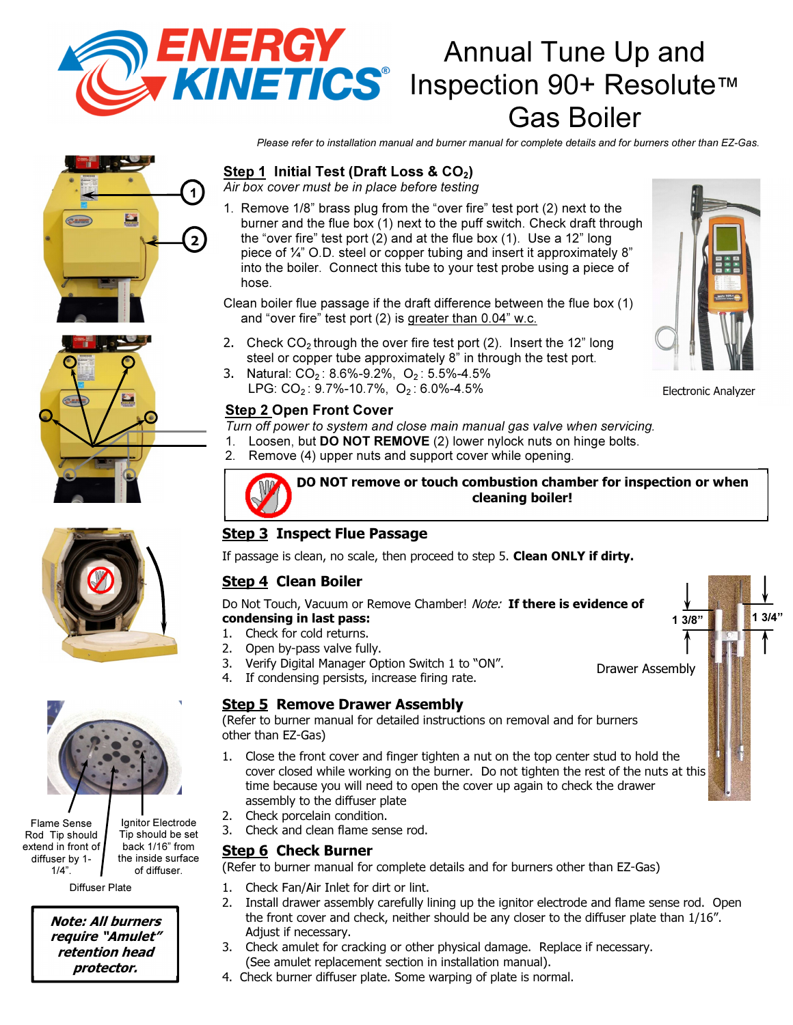

# Annual Tune Up and **KINETICS**<sup>®</sup> Inspection 90+ Resolute™ Gas Boiler

Please refer to installation manual and burner manual for complete details and for burners other than EZ-Gas.

# 2 1







Flame Sense Rod Tip should extend in front of diffuser by 1- 1/4".

Ignitor Electrode Tip should be set back 1/16" from the inside surface of diffuser.

Diffuser Plate

Note: All burners require "Amulet" retention head protector.

## Step 1 Initial Test (Draft Loss &  $CO<sub>2</sub>$ )

Air box cover must be in place before testing

1. Remove 1/8" brass plug from the "over fire" test port (2) next to the burner and the flue box (1) next to the puff switch. Check draft through the "over fire" test port (2) and at the flue box (1). Use a 12" long piece of ¼" O.D. steel or copper tubing and insert it approximately 8" into the boiler. Connect this tube to your test probe using a piece of hose.

Clean boiler flue passage if the draft difference between the flue box (1) and "over fire" test port (2) is greater than 0.04" w.c.

- 2. Check  $CO<sub>2</sub>$  through the over fire test port (2). Insert the 12" long steel or copper tube approximately 8" in through the test port.
- 3. Natural: CO<sub>2</sub>: 8.6%-9.2%, O<sub>2</sub>: 5.5%-4.5% LPG: CO<sub>2</sub>: 9.7%-10.7%, O<sub>2</sub>: 6.0%-4.5%

#### **Step 2 Open Front Cover**

Turn off power to system and close main manual gas valve when servicing.

- 1. Loosen, but DO NOT REMOVE (2) lower nylock nuts on hinge bolts.
- 2. Remove (4) upper nuts and support cover while opening.

DO NOT remove or touch combustion chamber for inspection or when cleaning boiler!

## **Step 3 Inspect Flue Passage**

If passage is clean, no scale, then proceed to step 5. Clean ONLY if dirty.

# Step 4 Clean Boiler

Do Not Touch, Vacuum or Remove Chamber! Note: If there is evidence of condensing in last pass:

#### 1. Check for cold returns.

- 2. Open by-pass valve fully.
- 3. Verify Digital Manager Option Switch 1 to "ON".
- 4. If condensing persists, increase firing rate.

#### Step 5 Remove Drawer Assembly

(Refer to burner manual for detailed instructions on removal and for burners other than EZ-Gas)

- 1. Close the front cover and finger tighten a nut on the top center stud to hold the cover closed while working on the burner. Do not tighten the rest of the nuts at this time because you will need to open the cover up again to check the drawer assembly to the diffuser plate
- 2. Check porcelain condition.
- 3. Check and clean flame sense rod.

#### **Step 6 Check Burner**

(Refer to burner manual for complete details and for burners other than EZ-Gas)

- 1. Check Fan/Air Inlet for dirt or lint.
- 2. Install drawer assembly carefully lining up the ignitor electrode and flame sense rod. Open the front cover and check, neither should be any closer to the diffuser plate than 1/16". Adjust if necessary.
- 3. Check amulet for cracking or other physical damage. Replace if necessary. (See amulet replacement section in installation manual).
- 4. Check burner diffuser plate. Some warping of plate is normal.





Drawer Assembly

 $1.3/8$